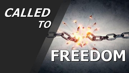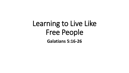## Learning to Live Like Free People **Galatians 5:16-26**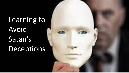Learning to Avoid Satan's Deceptions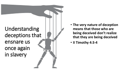

- **The very nature of deception means that those who are being deceived don't realize that they are being deceived**
- **II Timothy 4:3 - 4**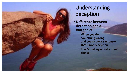

Understanding deception

- **Difference between deception and a bad choice**
	- **When you do something wrong and** *you know it's wrong* **that's not deception.**
	- **That's making a really poor choice.**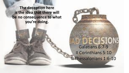**The deception here is the idea that there will be no consequence to what you're doing.**

> Galatians 6:7-9 II Corinthians 5:10 II Thessalonians 1:6-10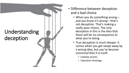

- Difference between deception and a bad choice
	- When you do something wrongand *you know it's wrong* —that's not deception. That's making a really poor choice. The only deception in this is the idea that there will be no consequence to what you're doing.
	- True deception is much deeper. It comes when you get swept away by a wrong idea, but *you've become convinced that it is truth* .
		- Celibate priests
		- Liberation theology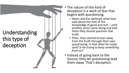## Understanding this type of deception

- 
- The nature of this kind of deception is a work of fear that begins with questioning.
	- Adam and Eve believed what God said about the tree of the knowledge of good and evil -- until another voice came along and told them they should question that truth.
	- Then, they started to lean away from the truth through their own questioning: *Is that what He really said? Is He trying to keep something from us?*
- Instead of going back to the Source, they let questioning lead them away. That's deception.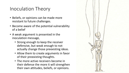## Inoculation Theory

- Beliefs, or opinions can be made more resistant to future challenges.
- Become aware of the potential vulnerability of a belief
- A weak argument is presented in the inoculation message,
	- Strong enough to keep the receiver defensive, but weak enough to not actually change those preexisting ideas.
	- Allow them to create arguments in favor of their preexisting thoughts.
	- The more active receivers become in their defense the more it will strengthen their own attitudes, beliefs, or opinions.